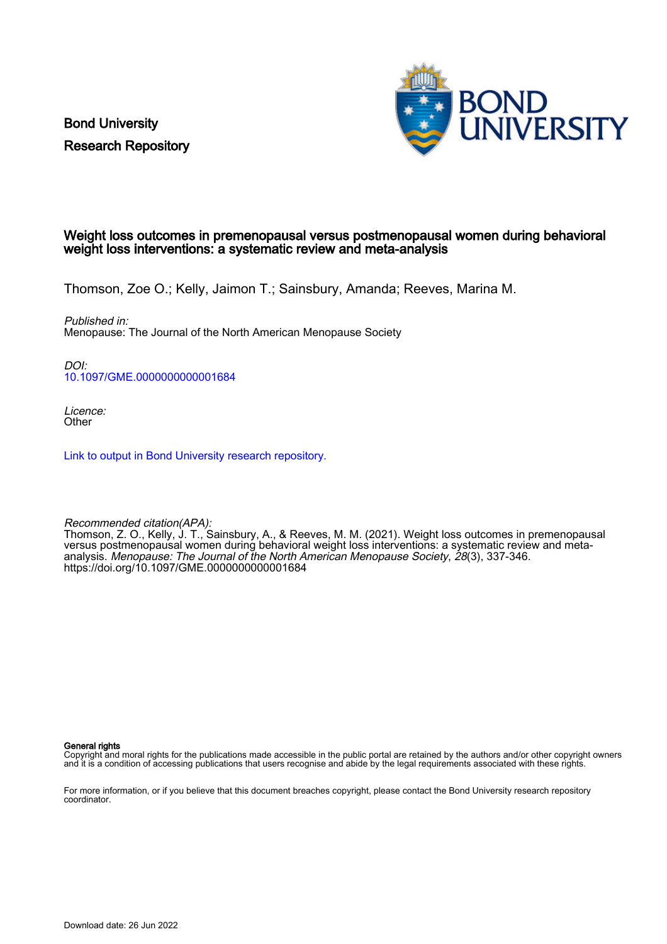Bond University Research Repository



## Weight loss outcomes in premenopausal versus postmenopausal women during behavioral weight loss interventions: a systematic review and meta-analysis

Thomson, Zoe O.; Kelly, Jaimon T.; Sainsbury, Amanda; Reeves, Marina M.

Published in: Menopause: The Journal of the North American Menopause Society

DOI: [10.1097/GME.0000000000001684](https://doi.org/10.1097/GME.0000000000001684)

Licence: **Other** 

[Link to output in Bond University research repository.](https://research.bond.edu.au/en/publications/ab169ef5-08c6-41c0-8a57-2c1bfd7ad4cb)

Recommended citation(APA):

Thomson, Z. O., Kelly, J. T., Sainsbury, A., & Reeves, M. M. (2021). Weight loss outcomes in premenopausal versus postmenopausal women during behavioral weight loss interventions: a systematic review and metaanalysis. Menopause: The Journal of the North American Menopause Society, 28(3), 337-346. <https://doi.org/10.1097/GME.0000000000001684>

General rights

Copyright and moral rights for the publications made accessible in the public portal are retained by the authors and/or other copyright owners and it is a condition of accessing publications that users recognise and abide by the legal requirements associated with these rights.

For more information, or if you believe that this document breaches copyright, please contact the Bond University research repository coordinator.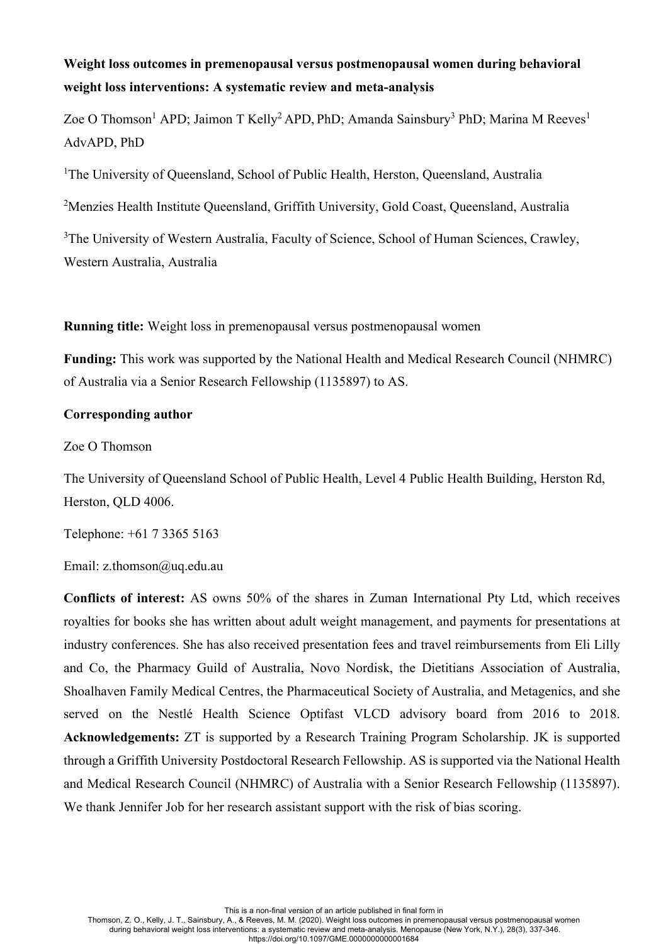# **Weight loss outcomes in premenopausal versus postmenopausal women during behavioral weight loss interventions: A systematic review and meta-analysis**

Zoe O Thomson<sup>1</sup> APD; Jaimon T Kelly<sup>2</sup> APD, PhD; Amanda Sainsbury<sup>3</sup> PhD; Marina M Reeves<sup>1</sup> AdvAPD, PhD

<sup>1</sup>The University of Queensland, School of Public Health, Herston, Queensland, Australia

<sup>2</sup>Menzies Health Institute Queensland, Griffith University, Gold Coast, Queensland, Australia

<sup>3</sup>The University of Western Australia, Faculty of Science, School of Human Sciences, Crawley, Western Australia, Australia

**Running title:** Weight loss in premenopausal versus postmenopausal women

**Funding:** This work was supported by the National Health and Medical Research Council (NHMRC) of Australia via a Senior Research Fellowship (1135897) to AS.

## **Corresponding author**

Zoe O Thomson

The University of Queensland School of Public Health, Level 4 Public Health Building, Herston Rd, Herston, QLD 4006.

Telephone: +61 7 3365 5163

Email: z.thomson@uq.edu.au

**Conflicts of interest:** AS owns 50% of the shares in Zuman International Pty Ltd, which receives royalties for books she has written about adult weight management, and payments for presentations at industry conferences. She has also received presentation fees and travel reimbursements from Eli Lilly and Co, the Pharmacy Guild of Australia, Novo Nordisk, the Dietitians Association of Australia, Shoalhaven Family Medical Centres, the Pharmaceutical Society of Australia, and Metagenics, and she served on the Nestlé Health Science Optifast VLCD advisory board from 2016 to 2018. **Acknowledgements:** ZT is supported by a Research Training Program Scholarship. JK is supported through a Griffith University Postdoctoral Research Fellowship. AS is supported via the National Health and Medical Research Council (NHMRC) of Australia with a Senior Research Fellowship (1135897). We thank Jennifer Job for her research assistant support with the risk of bias scoring.

This is a non-final version of an article published in final form in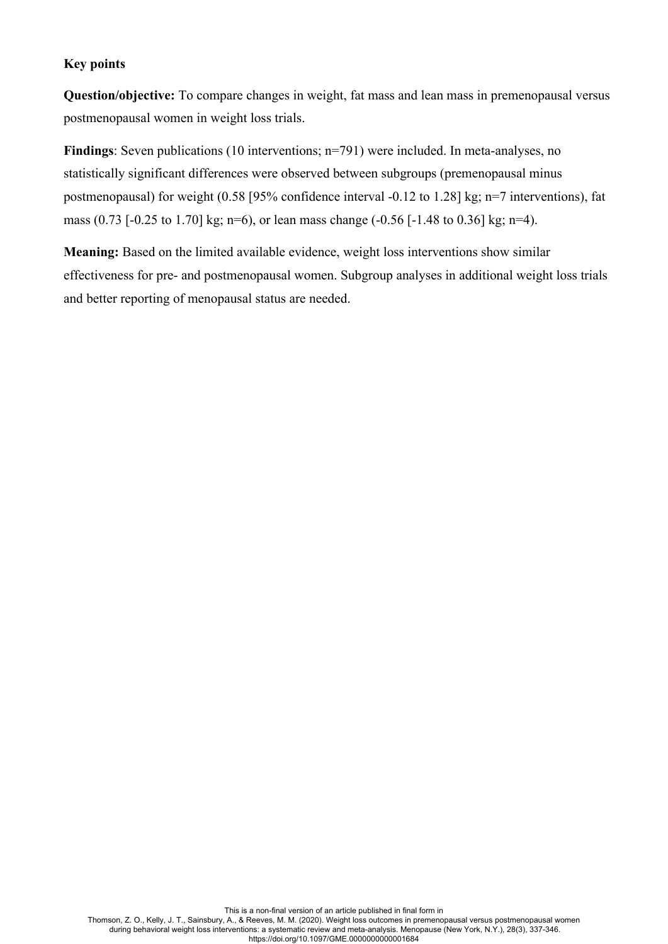## **Key points**

**Question/objective:** To compare changes in weight, fat mass and lean mass in premenopausal versus postmenopausal women in weight loss trials.

**Findings**: Seven publications (10 interventions; n=791) were included. In meta-analyses, no statistically significant differences were observed between subgroups (premenopausal minus postmenopausal) for weight (0.58 [95% confidence interval -0.12 to 1.28] kg; n=7 interventions), fat mass (0.73 [-0.25 to 1.70] kg; n=6), or lean mass change (-0.56 [-1.48 to 0.36] kg; n=4).

**Meaning:** Based on the limited available evidence, weight loss interventions show similar effectiveness for pre- and postmenopausal women. Subgroup analyses in additional weight loss trials and better reporting of menopausal status are needed.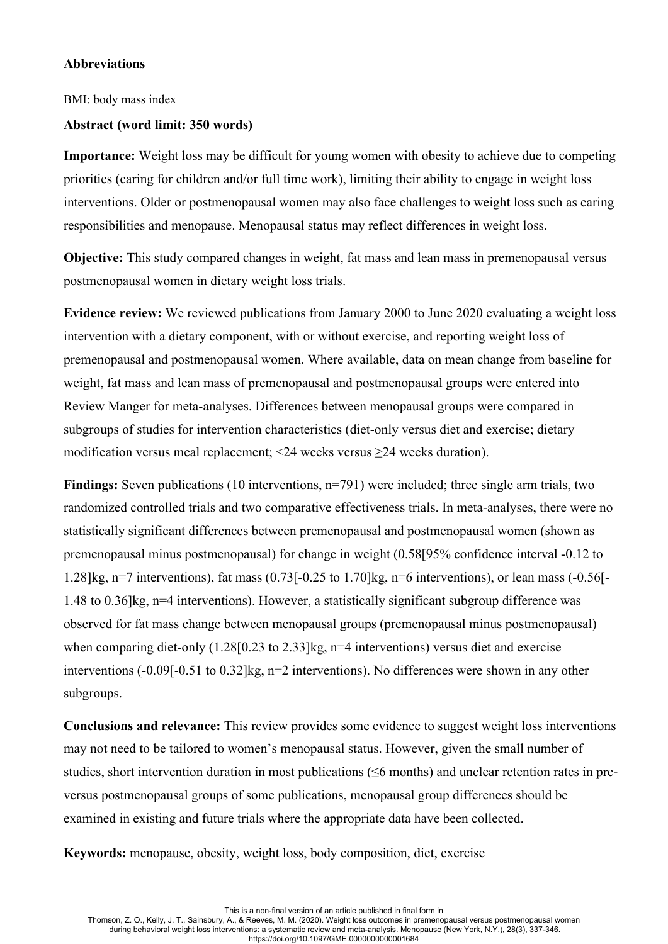## **Abbreviations**

BMI: body mass index

## **Abstract (word limit: 350 words)**

**Importance:** Weight loss may be difficult for young women with obesity to achieve due to competing priorities (caring for children and/or full time work), limiting their ability to engage in weight loss interventions. Older or postmenopausal women may also face challenges to weight loss such as caring responsibilities and menopause. Menopausal status may reflect differences in weight loss.

**Objective:** This study compared changes in weight, fat mass and lean mass in premenopausal versus postmenopausal women in dietary weight loss trials.

**Evidence review:** We reviewed publications from January 2000 to June 2020 evaluating a weight loss intervention with a dietary component, with or without exercise, and reporting weight loss of premenopausal and postmenopausal women. Where available, data on mean change from baseline for weight, fat mass and lean mass of premenopausal and postmenopausal groups were entered into Review Manger for meta-analyses. Differences between menopausal groups were compared in subgroups of studies for intervention characteristics (diet-only versus diet and exercise; dietary modification versus meal replacement; <24 weeks versus ≥24 weeks duration).

**Findings:** Seven publications (10 interventions, n=791) were included; three single arm trials, two randomized controlled trials and two comparative effectiveness trials. In meta-analyses, there were no statistically significant differences between premenopausal and postmenopausal women (shown as premenopausal minus postmenopausal) for change in weight (0.58[95% confidence interval -0.12 to 1.28]kg, n=7 interventions), fat mass  $(0.73[-0.25 \text{ to } 1.70]$ kg, n=6 interventions), or lean mass  $(-0.56[-0.56]$ 1.48 to 0.36]kg, n=4 interventions). However, a statistically significant subgroup difference was observed for fat mass change between menopausal groups (premenopausal minus postmenopausal) when comparing diet-only (1.28[0.23 to 2.33]kg, n=4 interventions) versus diet and exercise interventions (-0.09[-0.51 to 0.32]kg, n=2 interventions). No differences were shown in any other subgroups.

**Conclusions and relevance:** This review provides some evidence to suggest weight loss interventions may not need to be tailored to women's menopausal status. However, given the small number of studies, short intervention duration in most publications (≤6 months) and unclear retention rates in preversus postmenopausal groups of some publications, menopausal group differences should be examined in existing and future trials where the appropriate data have been collected.

**Keywords:** menopause, obesity, weight loss, body composition, diet, exercise

This is a non-final version of an article published in final form in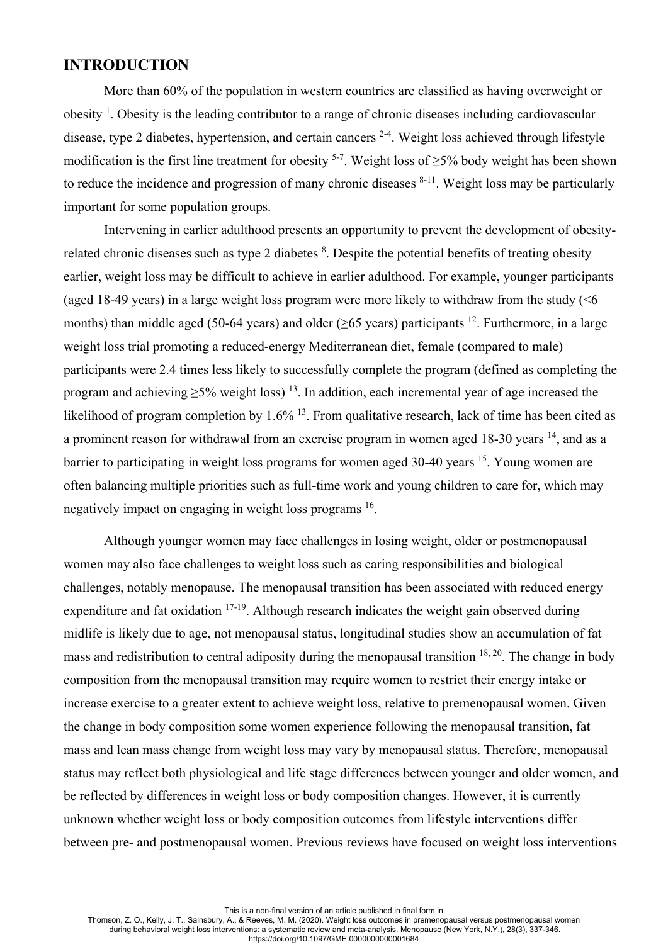## **INTRODUCTION**

More than 60% of the population in western countries are classified as having overweight or obesity<sup>1</sup>. Obesity is the leading contributor to a range of chronic diseases including cardiovascular disease, type 2 diabetes, hypertension, and certain cancers  $2-4$ . Weight loss achieved through lifestyle modification is the first line treatment for obesity <sup>5-7</sup>. Weight loss of  $\geq$ 5% body weight has been shown to reduce the incidence and progression of many chronic diseases  $8-11$ . Weight loss may be particularly important for some population groups.

Intervening in earlier adulthood presents an opportunity to prevent the development of obesityrelated chronic diseases such as type 2 diabetes  $8$ . Despite the potential benefits of treating obesity earlier, weight loss may be difficult to achieve in earlier adulthood. For example, younger participants (aged 18-49 years) in a large weight loss program were more likely to withdraw from the study  $\leq 6$ months) than middle aged (50-64 years) and older ( $\geq$ 65 years) participants <sup>12</sup>. Furthermore, in a large weight loss trial promoting a reduced-energy Mediterranean diet, female (compared to male) participants were 2.4 times less likely to successfully complete the program (defined as completing the program and achieving  $>5\%$  weight loss) <sup>13</sup>. In addition, each incremental year of age increased the likelihood of program completion by 1.6% <sup>13</sup>. From qualitative research, lack of time has been cited as a prominent reason for withdrawal from an exercise program in women aged 18-30 years <sup>14</sup>, and as a barrier to participating in weight loss programs for women aged 30-40 years <sup>15</sup>. Young women are often balancing multiple priorities such as full-time work and young children to care for, which may negatively impact on engaging in weight loss programs 16.

Although younger women may face challenges in losing weight, older or postmenopausal women may also face challenges to weight loss such as caring responsibilities and biological challenges, notably menopause. The menopausal transition has been associated with reduced energy expenditure and fat oxidation  $17-19$ . Although research indicates the weight gain observed during midlife is likely due to age, not menopausal status, longitudinal studies show an accumulation of fat mass and redistribution to central adiposity during the menopausal transition  $18, 20$ . The change in body composition from the menopausal transition may require women to restrict their energy intake or increase exercise to a greater extent to achieve weight loss, relative to premenopausal women. Given the change in body composition some women experience following the menopausal transition, fat mass and lean mass change from weight loss may vary by menopausal status. Therefore, menopausal status may reflect both physiological and life stage differences between younger and older women, and be reflected by differences in weight loss or body composition changes. However, it is currently unknown whether weight loss or body composition outcomes from lifestyle interventions differ between pre- and postmenopausal women. Previous reviews have focused on weight loss interventions

This is a non-final version of an article published in final form in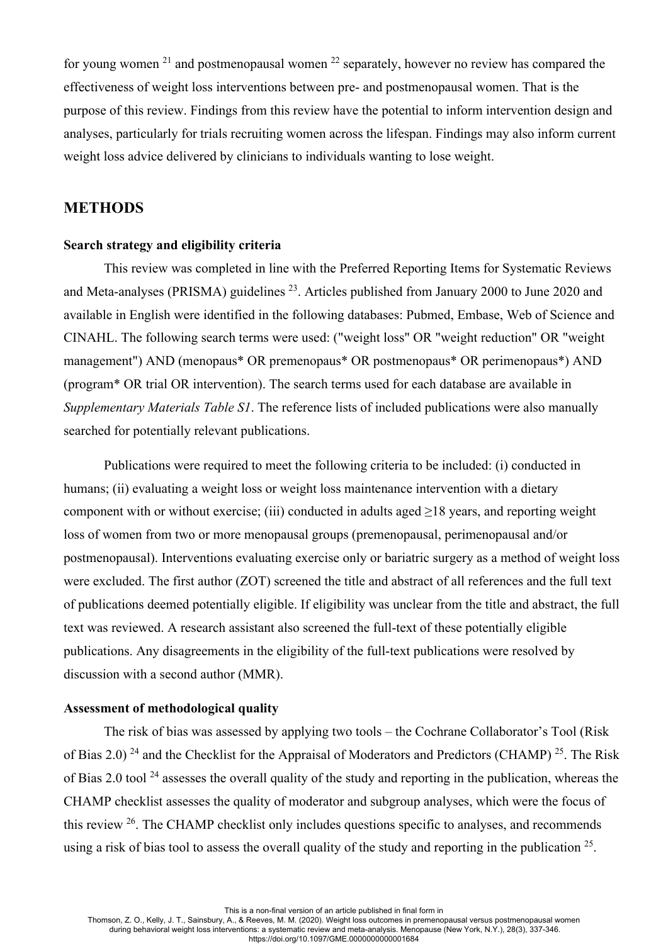for young women  $21$  and postmenopausal women  $22$  separately, however no review has compared the effectiveness of weight loss interventions between pre- and postmenopausal women. That is the purpose of this review. Findings from this review have the potential to inform intervention design and analyses, particularly for trials recruiting women across the lifespan. Findings may also inform current weight loss advice delivered by clinicians to individuals wanting to lose weight.

## **METHODS**

## **Search strategy and eligibility criteria**

This review was completed in line with the Preferred Reporting Items for Systematic Reviews and Meta-analyses (PRISMA) guidelines  $^{23}$ . Articles published from January 2000 to June 2020 and available in English were identified in the following databases: Pubmed, Embase, Web of Science and CINAHL. The following search terms were used: ("weight loss" OR "weight reduction" OR "weight management") AND (menopaus\* OR premenopaus\* OR postmenopaus\* OR perimenopaus\*) AND (program\* OR trial OR intervention). The search terms used for each database are available in *Supplementary Materials Table S1*. The reference lists of included publications were also manually searched for potentially relevant publications.

Publications were required to meet the following criteria to be included: (i) conducted in humans; (ii) evaluating a weight loss or weight loss maintenance intervention with a dietary component with or without exercise; (iii) conducted in adults aged ≥18 years, and reporting weight loss of women from two or more menopausal groups (premenopausal, perimenopausal and/or postmenopausal). Interventions evaluating exercise only or bariatric surgery as a method of weight loss were excluded. The first author (ZOT) screened the title and abstract of all references and the full text of publications deemed potentially eligible. If eligibility was unclear from the title and abstract, the full text was reviewed. A research assistant also screened the full-text of these potentially eligible publications. Any disagreements in the eligibility of the full-text publications were resolved by discussion with a second author (MMR).

## **Assessment of methodological quality**

The risk of bias was assessed by applying two tools – the Cochrane Collaborator's Tool (Risk of Bias 2.0) <sup>24</sup> and the Checklist for the Appraisal of Moderators and Predictors (CHAMP) <sup>25</sup>. The Risk of Bias 2.0 tool  $^{24}$  assesses the overall quality of the study and reporting in the publication, whereas the CHAMP checklist assesses the quality of moderator and subgroup analyses, which were the focus of this review  $26$ . The CHAMP checklist only includes questions specific to analyses, and recommends using a risk of bias tool to assess the overall quality of the study and reporting in the publication  $25$ .

This is a non-final version of an article published in final form in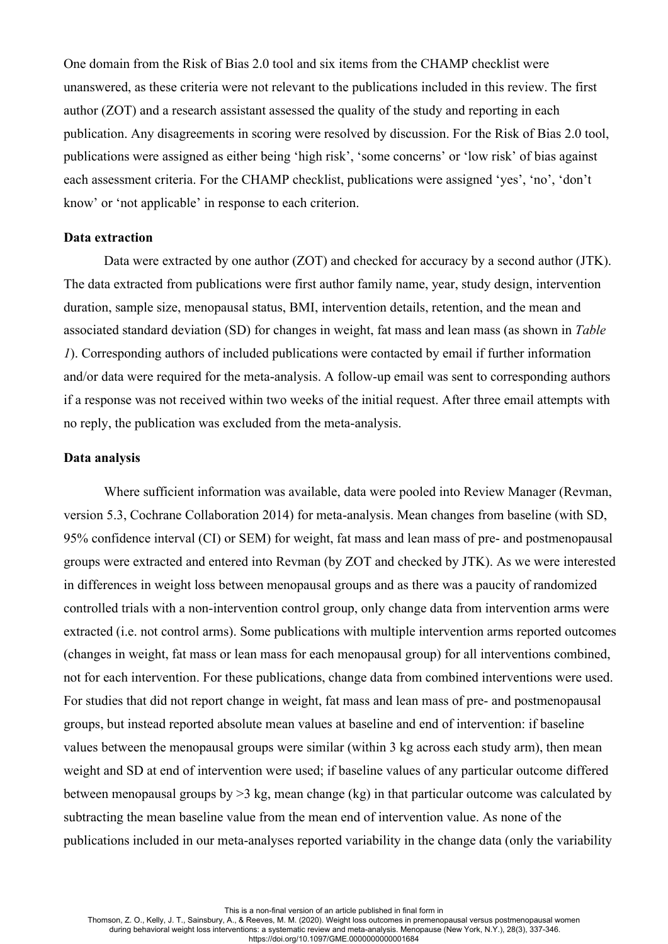One domain from the Risk of Bias 2.0 tool and six items from the CHAMP checklist were unanswered, as these criteria were not relevant to the publications included in this review. The first author (ZOT) and a research assistant assessed the quality of the study and reporting in each publication. Any disagreements in scoring were resolved by discussion. For the Risk of Bias 2.0 tool, publications were assigned as either being 'high risk', 'some concerns' or 'low risk' of bias against each assessment criteria. For the CHAMP checklist, publications were assigned 'yes', 'no', 'don't know' or 'not applicable' in response to each criterion.

## **Data extraction**

Data were extracted by one author (ZOT) and checked for accuracy by a second author (JTK). The data extracted from publications were first author family name, year, study design, intervention duration, sample size, menopausal status, BMI, intervention details, retention, and the mean and associated standard deviation (SD) for changes in weight, fat mass and lean mass (as shown in *Table 1*). Corresponding authors of included publications were contacted by email if further information and/or data were required for the meta-analysis. A follow-up email was sent to corresponding authors if a response was not received within two weeks of the initial request. After three email attempts with no reply, the publication was excluded from the meta-analysis.

#### **Data analysis**

Where sufficient information was available, data were pooled into Review Manager (Revman, version 5.3, Cochrane Collaboration 2014) for meta-analysis. Mean changes from baseline (with SD, 95% confidence interval (CI) or SEM) for weight, fat mass and lean mass of pre- and postmenopausal groups were extracted and entered into Revman (by ZOT and checked by JTK). As we were interested in differences in weight loss between menopausal groups and as there was a paucity of randomized controlled trials with a non-intervention control group, only change data from intervention arms were extracted (i.e. not control arms). Some publications with multiple intervention arms reported outcomes (changes in weight, fat mass or lean mass for each menopausal group) for all interventions combined, not for each intervention. For these publications, change data from combined interventions were used. For studies that did not report change in weight, fat mass and lean mass of pre- and postmenopausal groups, but instead reported absolute mean values at baseline and end of intervention: if baseline values between the menopausal groups were similar (within 3 kg across each study arm), then mean weight and SD at end of intervention were used; if baseline values of any particular outcome differed between menopausal groups by >3 kg, mean change (kg) in that particular outcome was calculated by subtracting the mean baseline value from the mean end of intervention value. As none of the publications included in our meta-analyses reported variability in the change data (only the variability

This is a non-final version of an article published in final form in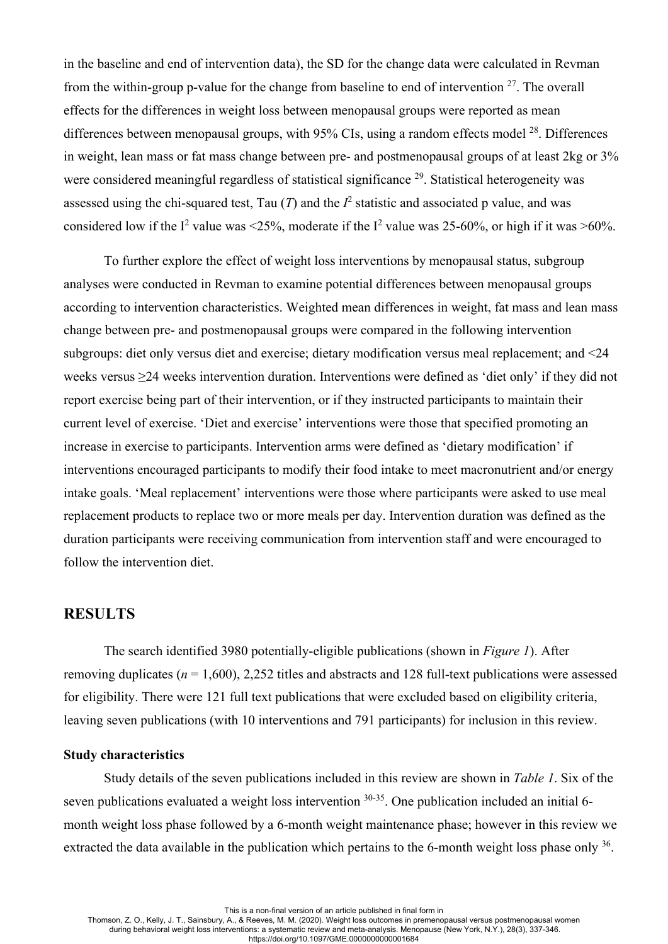in the baseline and end of intervention data), the SD for the change data were calculated in Revman from the within-group p-value for the change from baseline to end of intervention  $27$ . The overall effects for the differences in weight loss between menopausal groups were reported as mean differences between menopausal groups, with  $95\%$  CIs, using a random effects model  $^{28}$ . Differences in weight, lean mass or fat mass change between pre- and postmenopausal groups of at least 2kg or 3% were considered meaningful regardless of statistical significance <sup>29</sup>. Statistical heterogeneity was assessed using the chi-squared test, Tau  $(T)$  and the  $I^2$  statistic and associated p value, and was considered low if the I<sup>2</sup> value was <25%, moderate if the I<sup>2</sup> value was 25-60%, or high if it was >60%.

To further explore the effect of weight loss interventions by menopausal status, subgroup analyses were conducted in Revman to examine potential differences between menopausal groups according to intervention characteristics. Weighted mean differences in weight, fat mass and lean mass change between pre- and postmenopausal groups were compared in the following intervention subgroups: diet only versus diet and exercise; dietary modification versus meal replacement; and <24 weeks versus ≥24 weeks intervention duration. Interventions were defined as 'diet only' if they did not report exercise being part of their intervention, or if they instructed participants to maintain their current level of exercise. 'Diet and exercise' interventions were those that specified promoting an increase in exercise to participants. Intervention arms were defined as 'dietary modification' if interventions encouraged participants to modify their food intake to meet macronutrient and/or energy intake goals. 'Meal replacement' interventions were those where participants were asked to use meal replacement products to replace two or more meals per day. Intervention duration was defined as the duration participants were receiving communication from intervention staff and were encouraged to follow the intervention diet.

## **RESULTS**

The search identified 3980 potentially-eligible publications (shown in *Figure 1*). After removing duplicates (*n* = 1,600), 2,252 titles and abstracts and 128 full-text publications were assessed for eligibility. There were 121 full text publications that were excluded based on eligibility criteria, leaving seven publications (with 10 interventions and 791 participants) for inclusion in this review.

## **Study characteristics**

Study details of the seven publications included in this review are shown in *Table 1*. Six of the seven publications evaluated a weight loss intervention <sup>30-35</sup>. One publication included an initial 6month weight loss phase followed by a 6-month weight maintenance phase; however in this review we extracted the data available in the publication which pertains to the 6-month weight loss phase only <sup>36</sup>.

This is a non-final version of an article published in final form in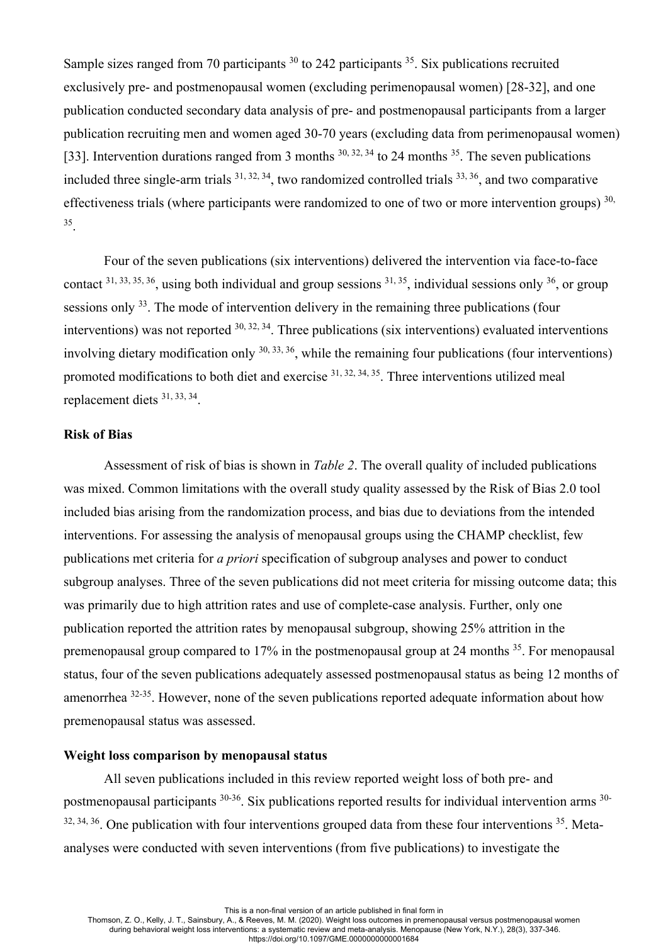Sample sizes ranged from 70 participants <sup>30</sup> to 242 participants <sup>35</sup>. Six publications recruited exclusively pre- and postmenopausal women (excluding perimenopausal women) [28-32], and one publication conducted secondary data analysis of pre- and postmenopausal participants from a larger publication recruiting men and women aged 30-70 years (excluding data from perimenopausal women) [33]. Intervention durations ranged from 3 months  $30, 32, 34$  to 24 months  $35$ . The seven publications included three single-arm trials  $31, 32, 34$ , two randomized controlled trials  $33, 36$ , and two comparative effectiveness trials (where participants were randomized to one of two or more intervention groups)  $30$ , 35.

Four of the seven publications (six interventions) delivered the intervention via face-to-face contact  $31, 33, 35, 36$ , using both individual and group sessions  $31, 35$ , individual sessions only  $36$ , or group sessions only <sup>33</sup>. The mode of intervention delivery in the remaining three publications (four interventions) was not reported  $30, 32, 34$ . Three publications (six interventions) evaluated interventions involving dietary modification only  $^{30, 33, 36}$ , while the remaining four publications (four interventions) promoted modifications to both diet and exercise  $31, 32, 34, 35$ . Three interventions utilized meal replacement diets 31, 33, 34.

#### **Risk of Bias**

Assessment of risk of bias is shown in *Table 2*. The overall quality of included publications was mixed. Common limitations with the overall study quality assessed by the Risk of Bias 2.0 tool included bias arising from the randomization process, and bias due to deviations from the intended interventions. For assessing the analysis of menopausal groups using the CHAMP checklist, few publications met criteria for *a priori* specification of subgroup analyses and power to conduct subgroup analyses. Three of the seven publications did not meet criteria for missing outcome data; this was primarily due to high attrition rates and use of complete-case analysis. Further, only one publication reported the attrition rates by menopausal subgroup, showing 25% attrition in the premenopausal group compared to 17% in the postmenopausal group at 24 months <sup>35</sup>. For menopausal status, four of the seven publications adequately assessed postmenopausal status as being 12 months of amenorrhea 32-35. However, none of the seven publications reported adequate information about how premenopausal status was assessed.

## **Weight loss comparison by menopausal status**

All seven publications included in this review reported weight loss of both pre- and postmenopausal participants 30-36. Six publications reported results for individual intervention arms 30-  $32, 34, 36$ . One publication with four interventions grouped data from these four interventions  $35$ . Metaanalyses were conducted with seven interventions (from five publications) to investigate the

This is a non-final version of an article published in final form in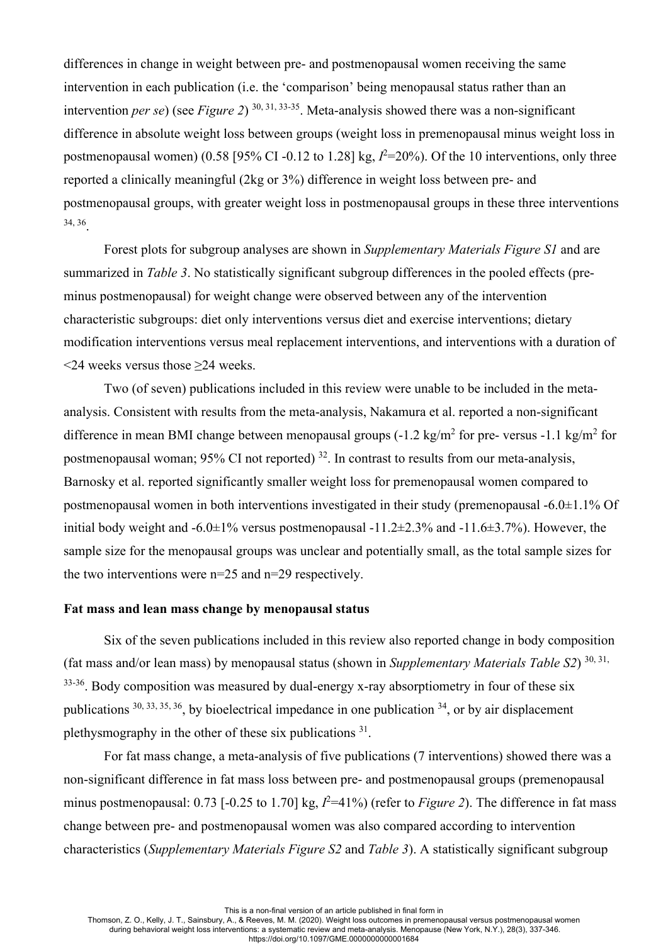differences in change in weight between pre- and postmenopausal women receiving the same intervention in each publication (i.e. the 'comparison' being menopausal status rather than an intervention *per se*) (see *Figure 2*) 30, 31, 33-35. Meta-analysis showed there was a non-significant difference in absolute weight loss between groups (weight loss in premenopausal minus weight loss in postmenopausal women) ( $0.58$  [ $95\%$  CI - $0.12$  to  $1.28$ ] kg,  $I^2=20\%$ ). Of the 10 interventions, only three reported a clinically meaningful (2kg or 3%) difference in weight loss between pre- and postmenopausal groups, with greater weight loss in postmenopausal groups in these three interventions 34, 36.

Forest plots for subgroup analyses are shown in *Supplementary Materials Figure S1* and are summarized in *Table 3*. No statistically significant subgroup differences in the pooled effects (preminus postmenopausal) for weight change were observed between any of the intervention characteristic subgroups: diet only interventions versus diet and exercise interventions; dietary modification interventions versus meal replacement interventions, and interventions with a duration of <24 weeks versus those ≥24 weeks.

Two (of seven) publications included in this review were unable to be included in the metaanalysis. Consistent with results from the meta-analysis, Nakamura et al. reported a non-significant difference in mean BMI change between menopausal groups  $(-1.2 \text{ kg/m}^2$  for pre- versus  $-1.1 \text{ kg/m}^2$  for postmenopausal woman;  $95\%$  CI not reported)  $32$ . In contrast to results from our meta-analysis, Barnosky et al. reported significantly smaller weight loss for premenopausal women compared to postmenopausal women in both interventions investigated in their study (premenopausal -6.0±1.1% Of initial body weight and  $-6.0\pm1\%$  versus postmenopausal  $-11.2\pm2.3\%$  and  $-11.6\pm3.7\%$ ). However, the sample size for the menopausal groups was unclear and potentially small, as the total sample sizes for the two interventions were n=25 and n=29 respectively.

## **Fat mass and lean mass change by menopausal status**

Six of the seven publications included in this review also reported change in body composition (fat mass and/or lean mass) by menopausal status (shown in *Supplementary Materials Table S2*) 30, 31,  $33-36$ . Body composition was measured by dual-energy x-ray absorptiometry in four of these six publications  $30, 33, 35, 36$ , by bioelectrical impedance in one publication  $34$ , or by air displacement plethysmography in the other of these six publications 31.

For fat mass change, a meta-analysis of five publications (7 interventions) showed there was a non-significant difference in fat mass loss between pre- and postmenopausal groups (premenopausal minus postmenopausal: 0.73 [-0.25 to 1.70] kg,  $l^2$ =41%) (refer to *Figure 2*). The difference in fat mass change between pre- and postmenopausal women was also compared according to intervention characteristics (*Supplementary Materials Figure S2* and *Table 3*). A statistically significant subgroup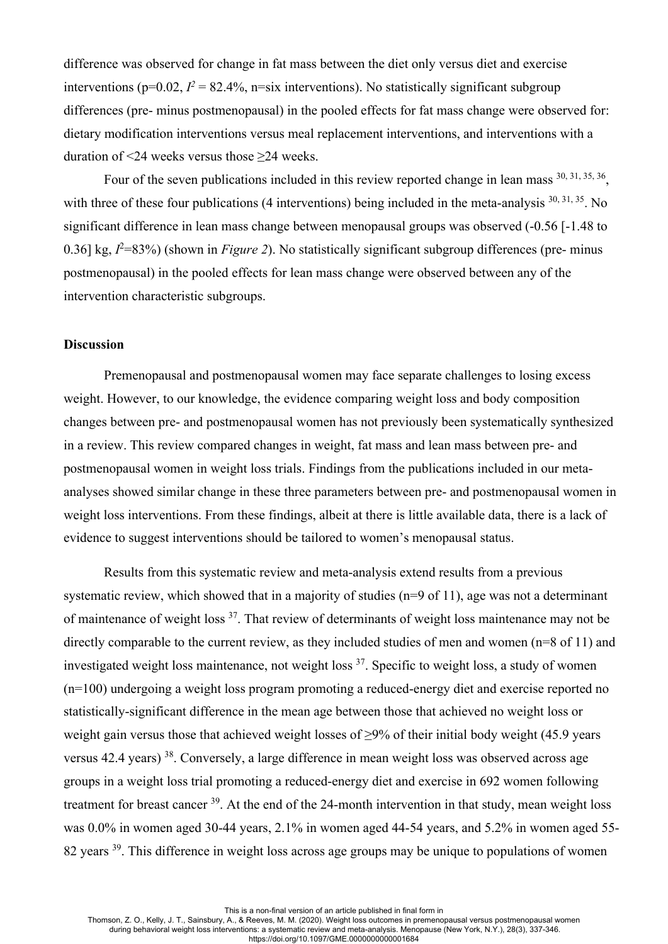difference was observed for change in fat mass between the diet only versus diet and exercise interventions ( $p=0.02$ ,  $I^2 = 82.4\%$ ,  $n=six$  interventions). No statistically significant subgroup differences (pre- minus postmenopausal) in the pooled effects for fat mass change were observed for: dietary modification interventions versus meal replacement interventions, and interventions with a duration of <24 weeks versus those ≥24 weeks.

Four of the seven publications included in this review reported change in lean mass  $^{30, 31, 35, 36}$ , with three of these four publications (4 interventions) being included in the meta-analysis <sup>30, 31, 35</sup>. No significant difference in lean mass change between menopausal groups was observed (-0.56 [-1.48 to 0.36] kg,  $I<sup>2</sup>=83%$  (shown in *Figure 2*). No statistically significant subgroup differences (pre- minus postmenopausal) in the pooled effects for lean mass change were observed between any of the intervention characteristic subgroups.

#### **Discussion**

Premenopausal and postmenopausal women may face separate challenges to losing excess weight. However, to our knowledge, the evidence comparing weight loss and body composition changes between pre- and postmenopausal women has not previously been systematically synthesized in a review. This review compared changes in weight, fat mass and lean mass between pre- and postmenopausal women in weight loss trials. Findings from the publications included in our metaanalyses showed similar change in these three parameters between pre- and postmenopausal women in weight loss interventions. From these findings, albeit at there is little available data, there is a lack of evidence to suggest interventions should be tailored to women's menopausal status.

Results from this systematic review and meta-analysis extend results from a previous systematic review, which showed that in a majority of studies (n=9 of 11), age was not a determinant of maintenance of weight loss <sup>37</sup>. That review of determinants of weight loss maintenance may not be directly comparable to the current review, as they included studies of men and women (n=8 of 11) and investigated weight loss maintenance, not weight loss  $37$ . Specific to weight loss, a study of women (n=100) undergoing a weight loss program promoting a reduced-energy diet and exercise reported no statistically-significant difference in the mean age between those that achieved no weight loss or weight gain versus those that achieved weight losses of ≥9% of their initial body weight (45.9 years versus 42.4 years) 38. Conversely, a large difference in mean weight loss was observed across age groups in a weight loss trial promoting a reduced-energy diet and exercise in 692 women following treatment for breast cancer 39. At the end of the 24-month intervention in that study, mean weight loss was 0.0% in women aged 30-44 years, 2.1% in women aged 44-54 years, and 5.2% in women aged 55- 82 years <sup>39</sup>. This difference in weight loss across age groups may be unique to populations of women

This is a non-final version of an article published in final form in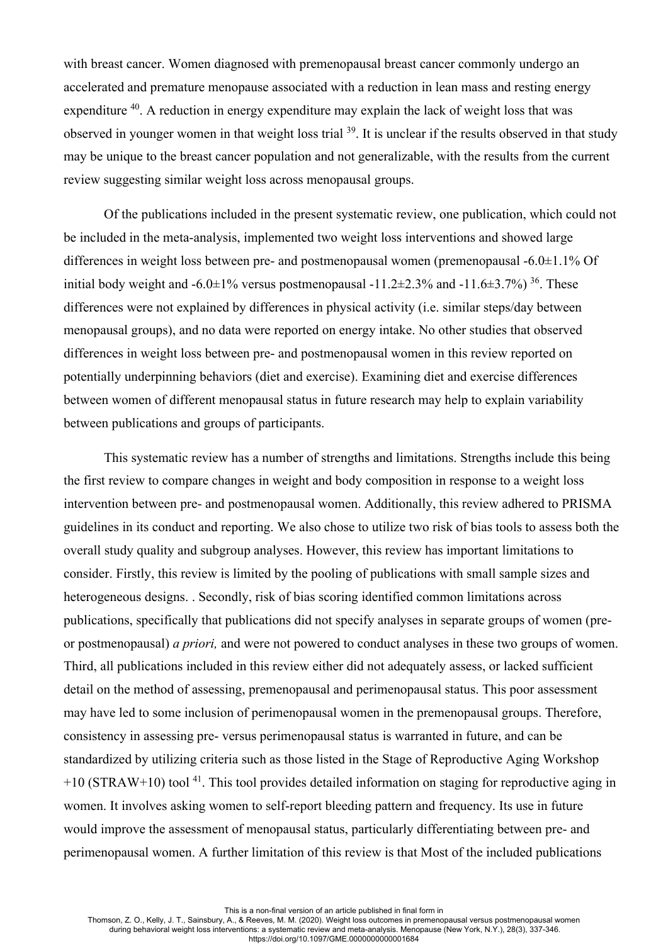with breast cancer. Women diagnosed with premenopausal breast cancer commonly undergo an accelerated and premature menopause associated with a reduction in lean mass and resting energy expenditure <sup>40</sup>. A reduction in energy expenditure may explain the lack of weight loss that was observed in younger women in that weight loss trial 39. It is unclear if the results observed in that study may be unique to the breast cancer population and not generalizable, with the results from the current review suggesting similar weight loss across menopausal groups.

Of the publications included in the present systematic review, one publication, which could not be included in the meta-analysis, implemented two weight loss interventions and showed large differences in weight loss between pre- and postmenopausal women (premenopausal -6.0±1.1% Of initial body weight and -6.0 $\pm$ 1% versus postmenopausal -11.2 $\pm$ 2.3% and -11.6 $\pm$ 3.7%) <sup>36</sup>. These differences were not explained by differences in physical activity (i.e. similar steps/day between menopausal groups), and no data were reported on energy intake. No other studies that observed differences in weight loss between pre- and postmenopausal women in this review reported on potentially underpinning behaviors (diet and exercise). Examining diet and exercise differences between women of different menopausal status in future research may help to explain variability between publications and groups of participants.

This systematic review has a number of strengths and limitations. Strengths include this being the first review to compare changes in weight and body composition in response to a weight loss intervention between pre- and postmenopausal women. Additionally, this review adhered to PRISMA guidelines in its conduct and reporting. We also chose to utilize two risk of bias tools to assess both the overall study quality and subgroup analyses. However, this review has important limitations to consider. Firstly, this review is limited by the pooling of publications with small sample sizes and heterogeneous designs. . Secondly, risk of bias scoring identified common limitations across publications, specifically that publications did not specify analyses in separate groups of women (preor postmenopausal) *a priori,* and were not powered to conduct analyses in these two groups of women. Third, all publications included in this review either did not adequately assess, or lacked sufficient detail on the method of assessing, premenopausal and perimenopausal status. This poor assessment may have led to some inclusion of perimenopausal women in the premenopausal groups. Therefore, consistency in assessing pre- versus perimenopausal status is warranted in future, and can be standardized by utilizing criteria such as those listed in the Stage of Reproductive Aging Workshop  $+10$  (STRAW+10) tool<sup>41</sup>. This tool provides detailed information on staging for reproductive aging in women. It involves asking women to self-report bleeding pattern and frequency. Its use in future would improve the assessment of menopausal status, particularly differentiating between pre- and perimenopausal women. A further limitation of this review is that Most of the included publications

This is a non-final version of an article published in final form in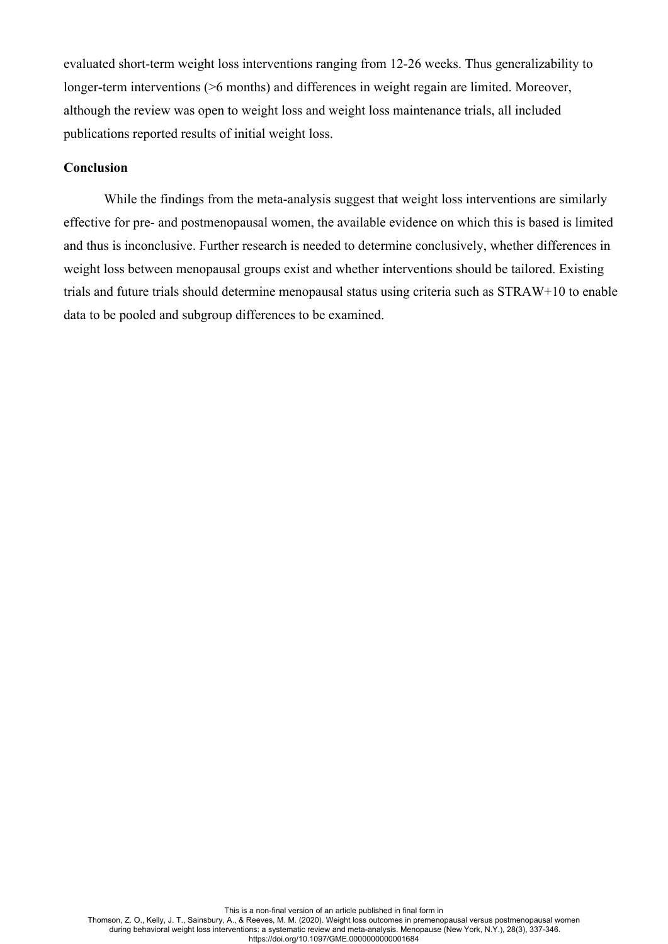evaluated short-term weight loss interventions ranging from 12-26 weeks. Thus generalizability to longer-term interventions ( $>6$  months) and differences in weight regain are limited. Moreover, although the review was open to weight loss and weight loss maintenance trials, all included publications reported results of initial weight loss.

## **Conclusion**

While the findings from the meta-analysis suggest that weight loss interventions are similarly effective for pre- and postmenopausal women, the available evidence on which this is based is limited and thus is inconclusive. Further research is needed to determine conclusively, whether differences in weight loss between menopausal groups exist and whether interventions should be tailored. Existing trials and future trials should determine menopausal status using criteria such as STRAW+10 to enable data to be pooled and subgroup differences to be examined.

This is a non-final version of an article published in final form in Thomson, Z. O., Kelly, J. T., Sainsbury, A., & Reeves, M. M. (2020). Weight loss outcomes in premenopausal versus postmenopausal women during behavioral weight loss interventions: a systematic review and meta-analysis. Menopause (New York, N.Y.), 28(3), 337-346. https://doi.org/10.1097/GME.0000000000001684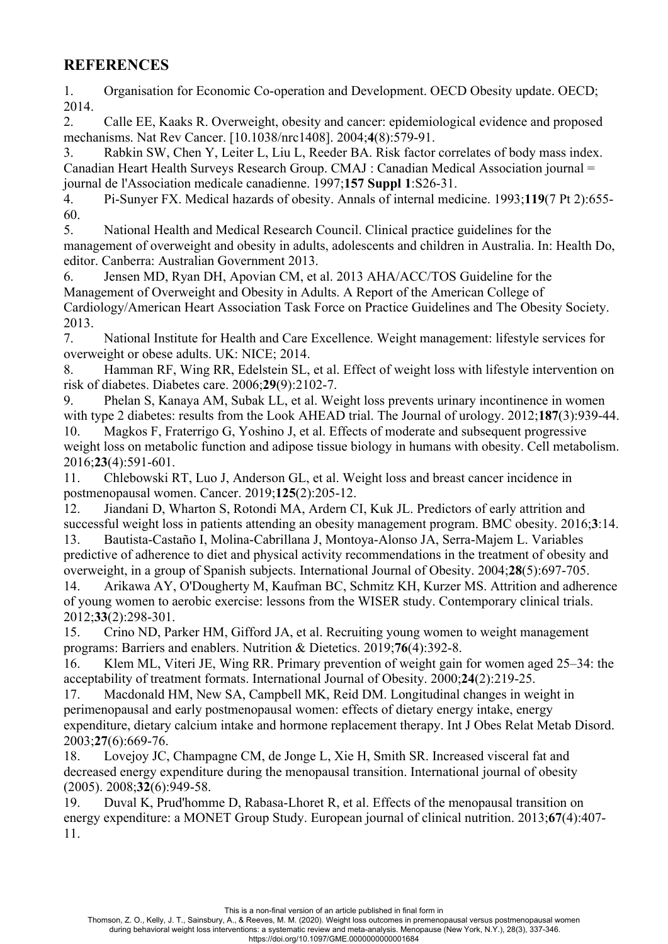# **REFERENCES**

1. Organisation for Economic Co-operation and Development. OECD Obesity update. OECD; 2014.

2. Calle EE, Kaaks R. Overweight, obesity and cancer: epidemiological evidence and proposed mechanisms. Nat Rev Cancer. [10.1038/nrc1408]. 2004;**4**(8):579-91.

3. Rabkin SW, Chen Y, Leiter L, Liu L, Reeder BA. Risk factor correlates of body mass index. Canadian Heart Health Surveys Research Group. CMAJ : Canadian Medical Association journal = journal de l'Association medicale canadienne. 1997;**157 Suppl 1**:S26-31.

4. Pi-Sunyer FX. Medical hazards of obesity. Annals of internal medicine. 1993;**119**(7 Pt 2):655- 60.

5. National Health and Medical Research Council. Clinical practice guidelines for the management of overweight and obesity in adults, adolescents and children in Australia. In: Health Do, editor. Canberra: Australian Government 2013.

6. Jensen MD, Ryan DH, Apovian CM, et al. 2013 AHA/ACC/TOS Guideline for the Management of Overweight and Obesity in Adults. A Report of the American College of Cardiology/American Heart Association Task Force on Practice Guidelines and The Obesity Society. 2013.

7. National Institute for Health and Care Excellence. Weight management: lifestyle services for overweight or obese adults. UK: NICE; 2014.

8. Hamman RF, Wing RR, Edelstein SL, et al. Effect of weight loss with lifestyle intervention on risk of diabetes. Diabetes care. 2006;**29**(9):2102-7.

9. Phelan S, Kanaya AM, Subak LL, et al. Weight loss prevents urinary incontinence in women with type 2 diabetes: results from the Look AHEAD trial. The Journal of urology. 2012;**187**(3):939-44. 10. Magkos F, Fraterrigo G, Yoshino J, et al. Effects of moderate and subsequent progressive weight loss on metabolic function and adipose tissue biology in humans with obesity. Cell metabolism. 2016;**23**(4):591-601.

11. Chlebowski RT, Luo J, Anderson GL, et al. Weight loss and breast cancer incidence in postmenopausal women. Cancer. 2019;**125**(2):205-12.

12. Jiandani D, Wharton S, Rotondi MA, Ardern CI, Kuk JL. Predictors of early attrition and successful weight loss in patients attending an obesity management program. BMC obesity. 2016;**3**:14.

13. Bautista-Castaño I, Molina-Cabrillana J, Montoya-Alonso JA, Serra-Majem L. Variables predictive of adherence to diet and physical activity recommendations in the treatment of obesity and overweight, in a group of Spanish subjects. International Journal of Obesity. 2004;**28**(5):697-705.

14. Arikawa AY, O'Dougherty M, Kaufman BC, Schmitz KH, Kurzer MS. Attrition and adherence of young women to aerobic exercise: lessons from the WISER study. Contemporary clinical trials. 2012;**33**(2):298-301.

15. Crino ND, Parker HM, Gifford JA, et al. Recruiting young women to weight management programs: Barriers and enablers. Nutrition & Dietetics. 2019;**76**(4):392-8.

16. Klem ML, Viteri JE, Wing RR. Primary prevention of weight gain for women aged 25–34: the acceptability of treatment formats. International Journal of Obesity. 2000;**24**(2):219-25.

17. Macdonald HM, New SA, Campbell MK, Reid DM. Longitudinal changes in weight in perimenopausal and early postmenopausal women: effects of dietary energy intake, energy expenditure, dietary calcium intake and hormone replacement therapy. Int J Obes Relat Metab Disord. 2003;**27**(6):669-76.

18. Lovejoy JC, Champagne CM, de Jonge L, Xie H, Smith SR. Increased visceral fat and decreased energy expenditure during the menopausal transition. International journal of obesity (2005). 2008;**32**(6):949-58.

19. Duval K, Prud'homme D, Rabasa-Lhoret R, et al. Effects of the menopausal transition on energy expenditure: a MONET Group Study. European journal of clinical nutrition. 2013;**67**(4):407- 11.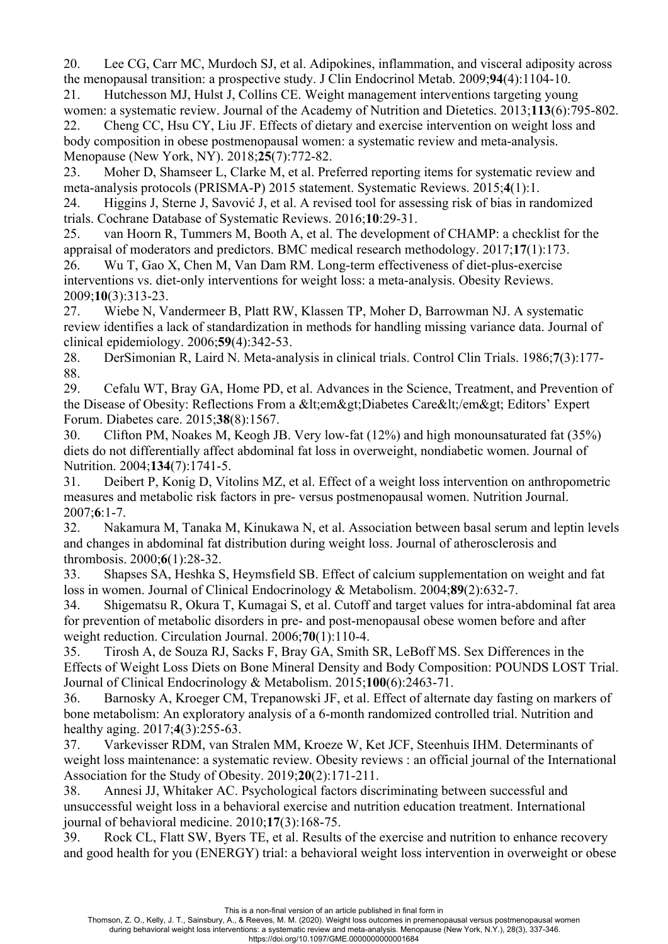20. Lee CG, Carr MC, Murdoch SJ, et al. Adipokines, inflammation, and visceral adiposity across the menopausal transition: a prospective study. J Clin Endocrinol Metab. 2009;**94**(4):1104-10.

21. Hutchesson MJ, Hulst J, Collins CE. Weight management interventions targeting young women: a systematic review. Journal of the Academy of Nutrition and Dietetics. 2013;**113**(6):795-802.

22. Cheng CC, Hsu CY, Liu JF. Effects of dietary and exercise intervention on weight loss and body composition in obese postmenopausal women: a systematic review and meta-analysis. Menopause (New York, NY). 2018;**25**(7):772-82.

23. Moher D, Shamseer L, Clarke M, et al. Preferred reporting items for systematic review and meta-analysis protocols (PRISMA-P) 2015 statement. Systematic Reviews. 2015;**4**(1):1.

24. Higgins J, Sterne J, Savović J, et al. A revised tool for assessing risk of bias in randomized trials. Cochrane Database of Systematic Reviews. 2016;**10**:29-31.

25. van Hoorn R, Tummers M, Booth A, et al. The development of CHAMP: a checklist for the appraisal of moderators and predictors. BMC medical research methodology. 2017;**17**(1):173.

26. Wu T, Gao X, Chen M, Van Dam RM. Long-term effectiveness of diet-plus-exercise interventions vs. diet-only interventions for weight loss: a meta-analysis. Obesity Reviews. 2009;**10**(3):313-23.

27. Wiebe N, Vandermeer B, Platt RW, Klassen TP, Moher D, Barrowman NJ. A systematic review identifies a lack of standardization in methods for handling missing variance data. Journal of clinical epidemiology. 2006;**59**(4):342-53.

28. DerSimonian R, Laird N. Meta-analysis in clinical trials. Control Clin Trials. 1986;**7**(3):177- 88.

29. Cefalu WT, Bray GA, Home PD, et al. Advances in the Science, Treatment, and Prevention of the Disease of Obesity: Reflections From a <em&gt;Diabetes Care&lt;/em&gt; Editors' Expert Forum. Diabetes care. 2015;**38**(8):1567.

30. Clifton PM, Noakes M, Keogh JB. Very low-fat (12%) and high monounsaturated fat (35%) diets do not differentially affect abdominal fat loss in overweight, nondiabetic women. Journal of Nutrition. 2004;**134**(7):1741-5.

31. Deibert P, Konig D, Vitolins MZ, et al. Effect of a weight loss intervention on anthropometric measures and metabolic risk factors in pre- versus postmenopausal women. Nutrition Journal. 2007;**6**:1-7.

32. Nakamura M, Tanaka M, Kinukawa N, et al. Association between basal serum and leptin levels and changes in abdominal fat distribution during weight loss. Journal of atherosclerosis and thrombosis. 2000;**6**(1):28-32.

33. Shapses SA, Heshka S, Heymsfield SB. Effect of calcium supplementation on weight and fat loss in women. Journal of Clinical Endocrinology & Metabolism. 2004;**89**(2):632-7.

34. Shigematsu R, Okura T, Kumagai S, et al. Cutoff and target values for intra-abdominal fat area for prevention of metabolic disorders in pre- and post-menopausal obese women before and after weight reduction. Circulation Journal. 2006;**70**(1):110-4.

35. Tirosh A, de Souza RJ, Sacks F, Bray GA, Smith SR, LeBoff MS. Sex Differences in the Effects of Weight Loss Diets on Bone Mineral Density and Body Composition: POUNDS LOST Trial. Journal of Clinical Endocrinology & Metabolism. 2015;**100**(6):2463-71.

36. Barnosky A, Kroeger CM, Trepanowski JF, et al. Effect of alternate day fasting on markers of bone metabolism: An exploratory analysis of a 6-month randomized controlled trial. Nutrition and healthy aging. 2017;**4**(3):255-63.

37. Varkevisser RDM, van Stralen MM, Kroeze W, Ket JCF, Steenhuis IHM. Determinants of weight loss maintenance: a systematic review. Obesity reviews : an official journal of the International Association for the Study of Obesity. 2019;**20**(2):171-211.

38. Annesi JJ, Whitaker AC. Psychological factors discriminating between successful and unsuccessful weight loss in a behavioral exercise and nutrition education treatment. International journal of behavioral medicine. 2010;**17**(3):168-75.

39. Rock CL, Flatt SW, Byers TE, et al. Results of the exercise and nutrition to enhance recovery and good health for you (ENERGY) trial: a behavioral weight loss intervention in overweight or obese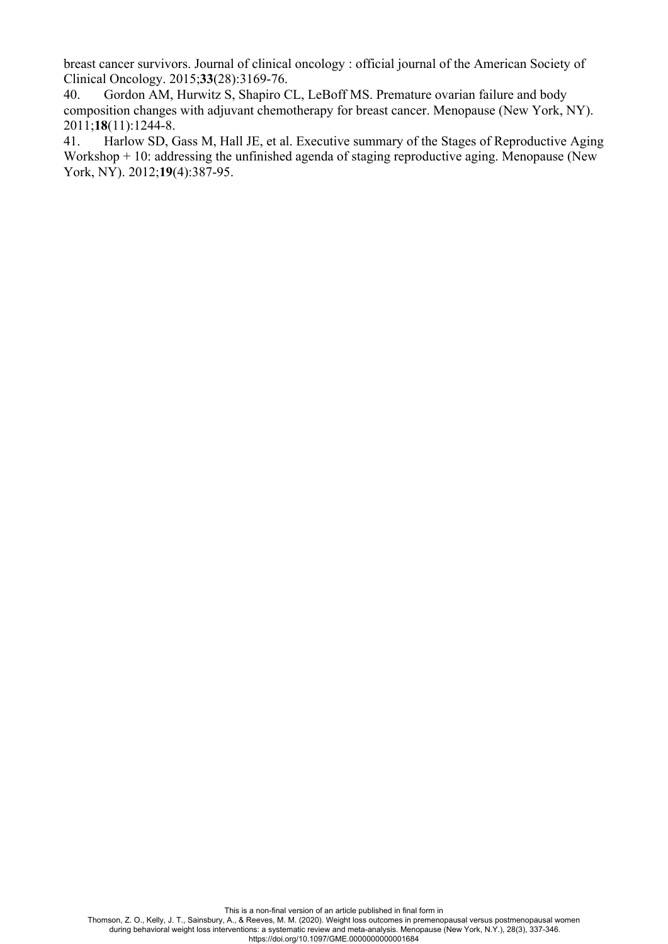breast cancer survivors. Journal of clinical oncology : official journal of the American Society of Clinical Oncology. 2015;**33**(28):3169-76.

40. Gordon AM, Hurwitz S, Shapiro CL, LeBoff MS. Premature ovarian failure and body composition changes with adjuvant chemotherapy for breast cancer. Menopause (New York, NY). 2011;**18**(11):1244-8.

41. Harlow SD, Gass M, Hall JE, et al. Executive summary of the Stages of Reproductive Aging Workshop  $+10$ : addressing the unfinished agenda of staging reproductive aging. Menopause (New York, NY). 2012;**19**(4):387-95.

This is a non-final version of an article published in final form in